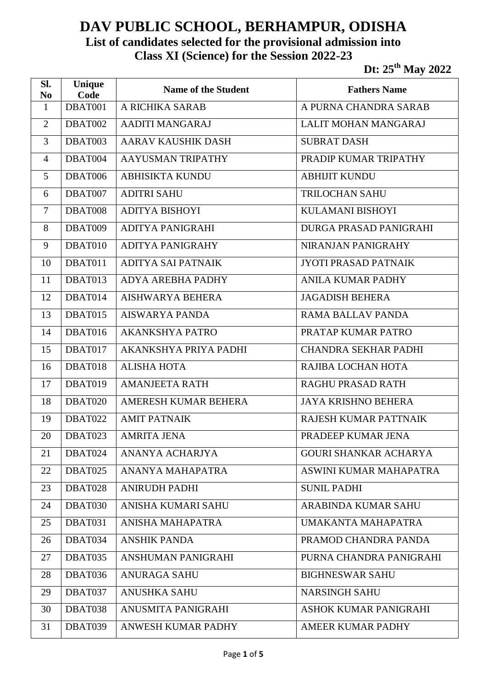## **DAV PUBLIC SCHOOL, BERHAMPUR, ODISHA List of candidates selected for the provisional admission into Class XI (Science) for the Session 2022-23**

**Dt: 25th May 2022**

| Sl.<br>N <sub>0</sub> | Unique<br>Code | <b>Name of the Student</b> | <b>Fathers Name</b>          |
|-----------------------|----------------|----------------------------|------------------------------|
| $\mathbf{1}$          | DBAT001        | A RICHIKA SARAB            | A PURNA CHANDRA SARAB        |
| $\overline{2}$        | DBAT002        | <b>AADITI MANGARAJ</b>     | LALIT MOHAN MANGARAJ         |
| 3                     | DBAT003        | <b>AARAV KAUSHIK DASH</b>  | <b>SUBRAT DASH</b>           |
| $\overline{4}$        | DBAT004        | AAYUSMAN TRIPATHY          | PRADIP KUMAR TRIPATHY        |
| 5                     | DBAT006        | <b>ABHISIKTA KUNDU</b>     | <b>ABHIJIT KUNDU</b>         |
| 6                     | DBAT007        | <b>ADITRI SAHU</b>         | <b>TRILOCHAN SAHU</b>        |
| $\overline{7}$        | DBAT008        | <b>ADITYA BISHOYI</b>      | <b>KULAMANI BISHOYI</b>      |
| 8                     | DBAT009        | ADITYA PANIGRAHI           | DURGA PRASAD PANIGRAHI       |
| 9                     | DBAT010        | <b>ADITYA PANIGRAHY</b>    | NIRANJAN PANIGRAHY           |
| 10                    | DBAT011        | <b>ADITYA SAI PATNAIK</b>  | <b>JYOTI PRASAD PATNAIK</b>  |
| 11                    | DBAT013        | <b>ADYA AREBHA PADHY</b>   | <b>ANILA KUMAR PADHY</b>     |
| 12                    | DBAT014        | <b>AISHWARYA BEHERA</b>    | <b>JAGADISH BEHERA</b>       |
| 13                    | DBAT015        | <b>AISWARYA PANDA</b>      | RAMA BALLAV PANDA            |
| 14                    | DBAT016        | <b>AKANKSHYA PATRO</b>     | PRATAP KUMAR PATRO           |
| 15                    | DBAT017        | AKANKSHYA PRIYA PADHI      | <b>CHANDRA SEKHAR PADHI</b>  |
| 16                    | DBAT018        | <b>ALISHA HOTA</b>         | RAJIBA LOCHAN HOTA           |
| 17                    | DBAT019        | <b>AMANJEETA RATH</b>      | <b>RAGHU PRASAD RATH</b>     |
| 18                    | DBAT020        | AMERESH KUMAR BEHERA       | <b>JAYA KRISHNO BEHERA</b>   |
| 19                    | DBAT022        | <b>AMIT PATNAIK</b>        | RAJESH KUMAR PATTNAIK        |
| 20                    | DBAT023        | <b>AMRITA JENA</b>         | PRADEEP KUMAR JENA           |
| 21                    | DBAT024        | ANANYA ACHARJYA            | <b>GOURI SHANKAR ACHARYA</b> |
| 22                    | DBAT025        | ANANYA MAHAPATRA           | ASWINI KUMAR MAHAPATRA       |
| 23                    | DBAT028        | <b>ANIRUDH PADHI</b>       | <b>SUNIL PADHI</b>           |
| 24                    | DBAT030        | ANISHA KUMARI SAHU         | <b>ARABINDA KUMAR SAHU</b>   |
| 25                    | DBAT031        | ANISHA MAHAPATRA           | UMAKANTA MAHAPATRA           |
| 26                    | DBAT034        | <b>ANSHIK PANDA</b>        | PRAMOD CHANDRA PANDA         |
| 27                    | DBAT035        | <b>ANSHUMAN PANIGRAHI</b>  | PURNA CHANDRA PANIGRAHI      |
| 28                    | DBAT036        | <b>ANURAGA SAHU</b>        | <b>BIGHNESWAR SAHU</b>       |
| 29                    | DBAT037        | <b>ANUSHKA SAHU</b>        | <b>NARSINGH SAHU</b>         |
| 30                    | DBAT038        | ANUSMITA PANIGRAHI         | ASHOK KUMAR PANIGRAHI        |
| 31                    | DBAT039        | ANWESH KUMAR PADHY         | AMEER KUMAR PADHY            |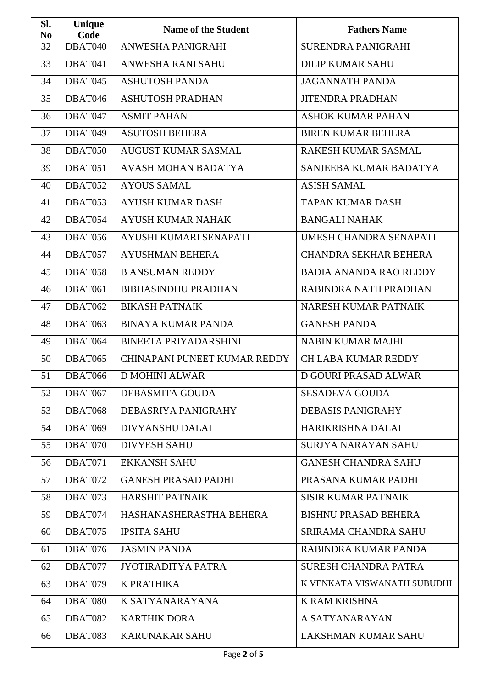| SI.<br>N <sub>0</sub> | Unique<br>Code | <b>Name of the Student</b>   | <b>Fathers Name</b>           |
|-----------------------|----------------|------------------------------|-------------------------------|
| 32                    | DBAT040        | <b>ANWESHA PANIGRAHI</b>     | <b>SURENDRA PANIGRAHI</b>     |
| 33                    | DBAT041        | ANWESHA RANI SAHU            | <b>DILIP KUMAR SAHU</b>       |
| 34                    | DBAT045        | <b>ASHUTOSH PANDA</b>        | <b>JAGANNATH PANDA</b>        |
| 35                    | DBAT046        | <b>ASHUTOSH PRADHAN</b>      | <b>JITENDRA PRADHAN</b>       |
| 36                    | DBAT047        | <b>ASMIT PAHAN</b>           | <b>ASHOK KUMAR PAHAN</b>      |
| 37                    | DBAT049        | <b>ASUTOSH BEHERA</b>        | <b>BIREN KUMAR BEHERA</b>     |
| 38                    | DBAT050        | <b>AUGUST KUMAR SASMAL</b>   | RAKESH KUMAR SASMAL           |
| 39                    | DBAT051        | <b>AVASH MOHAN BADATYA</b>   | SANJEEBA KUMAR BADATYA        |
| 40                    | DBAT052        | <b>AYOUS SAMAL</b>           | <b>ASISH SAMAL</b>            |
| 41                    | DBAT053        | <b>AYUSH KUMAR DASH</b>      | <b>TAPAN KUMAR DASH</b>       |
| 42                    | DBAT054        | <b>AYUSH KUMAR NAHAK</b>     | <b>BANGALI NAHAK</b>          |
| 43                    | DBAT056        | AYUSHI KUMARI SENAPATI       | UMESH CHANDRA SENAPATI        |
| 44                    | DBAT057        | <b>AYUSHMAN BEHERA</b>       | <b>CHANDRA SEKHAR BEHERA</b>  |
| 45                    | DBAT058        | <b>B ANSUMAN REDDY</b>       | <b>BADIA ANANDA RAO REDDY</b> |
| 46                    | DBAT061        | <b>BIBHASINDHU PRADHAN</b>   | RABINDRA NATH PRADHAN         |
| 47                    | DBAT062        | <b>BIKASH PATNAIK</b>        | NARESH KUMAR PATNAIK          |
| 48                    | DBAT063        | <b>BINAYA KUMAR PANDA</b>    | <b>GANESH PANDA</b>           |
| 49                    | DBAT064        | <b>BINEETA PRIYADARSHINI</b> | <b>NABIN KUMAR MAJHI</b>      |
| 50                    | DBAT065        | CHINAPANI PUNEET KUMAR REDDY | <b>CH LABA KUMAR REDDY</b>    |
| 51                    | DBAT066        | <b>D MOHINI ALWAR</b>        | <b>D GOURI PRASAD ALWAR</b>   |
| 52                    | DBAT067        | DEBASMITA GOUDA              | <b>SESADEVA GOUDA</b>         |
| 53                    | DBAT068        | DEBASRIYA PANIGRAHY          | <b>DEBASIS PANIGRAHY</b>      |
| 54                    | DBAT069        | DIVYANSHU DALAI              | HARIKRISHNA DALAI             |
| 55                    | DBAT070        | <b>DIVYESH SAHU</b>          | <b>SURJYA NARAYAN SAHU</b>    |
| 56                    | DBAT071        | <b>EKKANSH SAHU</b>          | <b>GANESH CHANDRA SAHU</b>    |
| 57                    | DBAT072        | <b>GANESH PRASAD PADHI</b>   | PRASANA KUMAR PADHI           |
| 58                    | DBAT073        | <b>HARSHIT PATNAIK</b>       | <b>SISIR KUMAR PATNAIK</b>    |
| 59                    | DBAT074        | HASHANASHERASTHA BEHERA      | <b>BISHNU PRASAD BEHERA</b>   |
| 60                    | DBAT075        | <b>IPSITA SAHU</b>           | SRIRAMA CHANDRA SAHU          |
| 61                    | DBAT076        | <b>JASMIN PANDA</b>          | RABINDRA KUMAR PANDA          |
| 62                    | DBAT077        | <b>JYOTIRADITYA PATRA</b>    | <b>SURESH CHANDRA PATRA</b>   |
| 63                    | DBAT079        | <b>K PRATHIKA</b>            | K VENKATA VISWANATH SUBUDHI   |
| 64                    | DBAT080        | K SATYANARAYANA              | K RAM KRISHNA                 |
| 65                    | DBAT082        | <b>KARTHIK DORA</b>          | A SATYANARAYAN                |
| 66                    | DBAT083        | KARUNAKAR SAHU               | LAKSHMAN KUMAR SAHU           |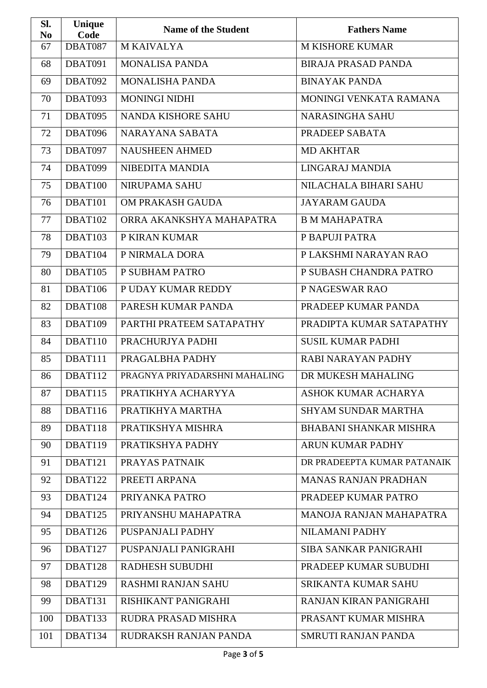| SI.<br>N <sub>0</sub> | Unique<br>Code | <b>Name of the Student</b>    | <b>Fathers Name</b>           |
|-----------------------|----------------|-------------------------------|-------------------------------|
| 67                    | DBAT087        | <b>M KAIVALYA</b>             | <b>M KISHORE KUMAR</b>        |
| 68                    | DBAT091        | <b>MONALISA PANDA</b>         | <b>BIRAJA PRASAD PANDA</b>    |
| 69                    | DBAT092        | <b>MONALISHA PANDA</b>        | <b>BINAYAK PANDA</b>          |
| 70                    | DBAT093        | <b>MONINGI NIDHI</b>          | MONINGI VENKATA RAMANA        |
| 71                    | DBAT095        | <b>NANDA KISHORE SAHU</b>     | <b>NARASINGHA SAHU</b>        |
| 72                    | DBAT096        | NARAYANA SABATA               | PRADEEP SABATA                |
| 73                    | DBAT097        | <b>NAUSHEEN AHMED</b>         | <b>MD AKHTAR</b>              |
| 74                    | DBAT099        | NIBEDITA MANDIA               | LINGARAJ MANDIA               |
| 75                    | DBAT100        | <b>NIRUPAMA SAHU</b>          | NILACHALA BIHARI SAHU         |
| 76                    | DBAT101        | OM PRAKASH GAUDA              | <b>JAYARAM GAUDA</b>          |
| 77                    | DBAT102        | ORRA AKANKSHYA MAHAPATRA      | <b>B M MAHAPATRA</b>          |
| 78                    | DBAT103        | P KIRAN KUMAR                 | P BAPUJI PATRA                |
| 79                    | DBAT104        | P NIRMALA DORA                | P LAKSHMI NARAYAN RAO         |
| 80                    | DBAT105        | P SUBHAM PATRO                | P SUBASH CHANDRA PATRO        |
| 81                    | DBAT106        | P UDAY KUMAR REDDY            | P NAGESWAR RAO                |
| 82                    | DBAT108        | PARESH KUMAR PANDA            | PRADEEP KUMAR PANDA           |
| 83                    | DBAT109        | PARTHI PRATEEM SATAPATHY      | PRADIPTA KUMAR SATAPATHY      |
| 84                    | DBAT110        | PRACHURJYA PADHI              | <b>SUSIL KUMAR PADHI</b>      |
| 85                    | DBAT111        | PRAGALBHA PADHY               | <b>RABI NARAYAN PADHY</b>     |
| 86                    | DBAT112        | PRAGNYA PRIYADARSHNI MAHALING | DR MUKESH MAHALING            |
| 87                    | DBAT115        | PRATIKHYA ACHARYYA            | ASHOK KUMAR ACHARYA           |
| 88                    | DBAT116        | PRATIKHYA MARTHA              | <b>SHYAM SUNDAR MARTHA</b>    |
| 89                    | DBAT118        | PRATIKSHYA MISHRA             | <b>BHABANI SHANKAR MISHRA</b> |
| 90                    | DBAT119        | PRATIKSHYA PADHY              | <b>ARUN KUMAR PADHY</b>       |
| 91                    | DBAT121        | PRAYAS PATNAIK                | DR PRADEEPTA KUMAR PATANAIK   |
| 92                    | DBAT122        | PREETI ARPANA                 | <b>MANAS RANJAN PRADHAN</b>   |
| 93                    | DBAT124        | PRIYANKA PATRO                | PRADEEP KUMAR PATRO           |
| 94                    | DBAT125        | PRIYANSHU MAHAPATRA           | MANOJA RANJAN MAHAPATRA       |
| 95                    | DBAT126        | PUSPANJALI PADHY              | <b>NILAMANI PADHY</b>         |
| 96                    | DBAT127        | PUSPANJALI PANIGRAHI          | SIBA SANKAR PANIGRAHI         |
| 97                    | DBAT128        | <b>RADHESH SUBUDHI</b>        | PRADEEP KUMAR SUBUDHI         |
| 98                    | DBAT129        | <b>RASHMI RANJAN SAHU</b>     | <b>SRIKANTA KUMAR SAHU</b>    |
| 99                    | DBAT131        | RISHIKANT PANIGRAHI           | RANJAN KIRAN PANIGRAHI        |
| 100                   | DBAT133        | RUDRA PRASAD MISHRA           | PRASANT KUMAR MISHRA          |
| 101                   | DBAT134        | RUDRAKSH RANJAN PANDA         | <b>SMRUTI RANJAN PANDA</b>    |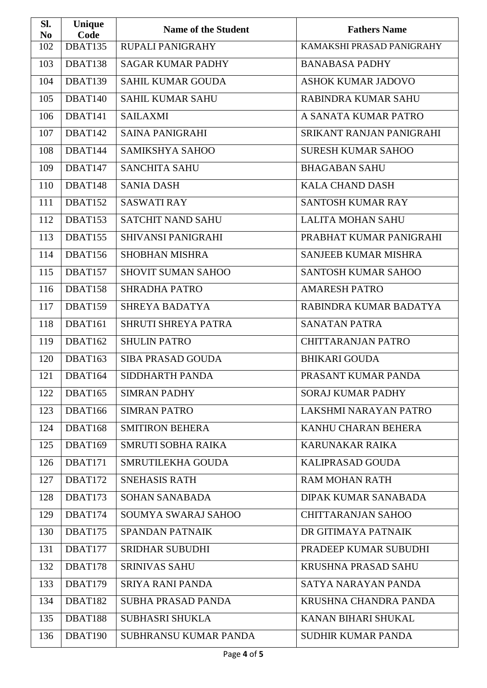| Sl.<br>N <sub>0</sub> | Unique<br>Code | <b>Name of the Student</b> | <b>Fathers Name</b>         |
|-----------------------|----------------|----------------------------|-----------------------------|
| 102                   | DBAT135        | RUPALI PANIGRAHY           | KAMAKSHI PRASAD PANIGRAHY   |
| 103                   | DBAT138        | <b>SAGAR KUMAR PADHY</b>   | <b>BANABASA PADHY</b>       |
| 104                   | DBAT139        | <b>SAHIL KUMAR GOUDA</b>   | <b>ASHOK KUMAR JADOVO</b>   |
| 105                   | DBAT140        | <b>SAHIL KUMAR SAHU</b>    | RABINDRA KUMAR SAHU         |
| 106                   | DBAT141        | <b>SAILAXMI</b>            | A SANATA KUMAR PATRO        |
| 107                   | DBAT142        | <b>SAINA PANIGRAHI</b>     | SRIKANT RANJAN PANIGRAHI    |
| 108                   | DBAT144        | SAMIKSHYA SAHOO            | <b>SURESH KUMAR SAHOO</b>   |
| 109                   | DBAT147        | <b>SANCHITA SAHU</b>       | <b>BHAGABAN SAHU</b>        |
| 110                   | DBAT148        | <b>SANIA DASH</b>          | <b>KALA CHAND DASH</b>      |
| 111                   | DBAT152        | <b>SASWATI RAY</b>         | <b>SANTOSH KUMAR RAY</b>    |
| 112                   | DBAT153        | <b>SATCHIT NAND SAHU</b>   | <b>LALITA MOHAN SAHU</b>    |
| 113                   | DBAT155        | SHIVANSI PANIGRAHI         | PRABHAT KUMAR PANIGRAHI     |
| 114                   | DBAT156        | <b>SHOBHAN MISHRA</b>      | <b>SANJEEB KUMAR MISHRA</b> |
| 115                   | DBAT157        | <b>SHOVIT SUMAN SAHOO</b>  | <b>SANTOSH KUMAR SAHOO</b>  |
| 116                   | DBAT158        | <b>SHRADHA PATRO</b>       | <b>AMARESH PATRO</b>        |
| 117                   | DBAT159        | <b>SHREYA BADATYA</b>      | RABINDRA KUMAR BADATYA      |
| 118                   | DBAT161        | SHRUTI SHREYA PATRA        | <b>SANATAN PATRA</b>        |
| 119                   | DBAT162        | <b>SHULIN PATRO</b>        | <b>CHITTARANJAN PATRO</b>   |
| 120                   | DBAT163        | <b>SIBA PRASAD GOUDA</b>   | <b>BHIKARI GOUDA</b>        |
| 121                   | DBAT164        | SIDDHARTH PANDA            | PRASANT KUMAR PANDA         |
| 122                   | DBAT165        | <b>SIMRAN PADHY</b>        | <b>SORAJ KUMAR PADHY</b>    |
| 123                   | DBAT166        | <b>SIMRAN PATRO</b>        | LAKSHMI NARAYAN PATRO       |
| 124                   | DBAT168        | <b>SMITIRON BEHERA</b>     | KANHU CHARAN BEHERA         |
| 125                   | DBAT169        | <b>SMRUTI SOBHA RAIKA</b>  | <b>KARUNAKAR RAIKA</b>      |
| 126                   | DBAT171        | SMRUTILEKHA GOUDA          | <b>KALIPRASAD GOUDA</b>     |
| 127                   | DBAT172        | <b>SNEHASIS RATH</b>       | <b>RAM MOHAN RATH</b>       |
| 128                   | DBAT173        | <b>SOHAN SANABADA</b>      | DIPAK KUMAR SANABADA        |
| 129                   | DBAT174        | SOUMYA SWARAJ SAHOO        | <b>CHITTARANJAN SAHOO</b>   |
| 130                   | DBAT175        | <b>SPANDAN PATNAIK</b>     | DR GITIMAYA PATNAIK         |
| 131                   | DBAT177        | <b>SRIDHAR SUBUDHI</b>     | PRADEEP KUMAR SUBUDHI       |
| 132                   | DBAT178        | <b>SRINIVAS SAHU</b>       | <b>KRUSHNA PRASAD SAHU</b>  |
| 133                   | DBAT179        | <b>SRIYA RANI PANDA</b>    | SATYA NARAYAN PANDA         |
| 134                   | DBAT182        | <b>SUBHA PRASAD PANDA</b>  | KRUSHNA CHANDRA PANDA       |
| 135                   | DBAT188        | <b>SUBHASRI SHUKLA</b>     | KANAN BIHARI SHUKAL         |
| 136                   | DBAT190        | SUBHRANSU KUMAR PANDA      | <b>SUDHIR KUMAR PANDA</b>   |